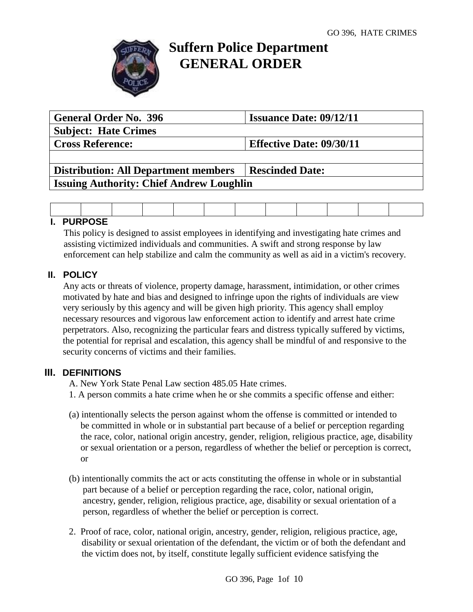

# **Suffern Police Department GENERAL ORDER**

| <b>General Order No. 396</b>                    | <b>Issuance Date: 09/12/11</b>  |  |  |  |  |  |  |
|-------------------------------------------------|---------------------------------|--|--|--|--|--|--|
| <b>Subject: Hate Crimes</b>                     |                                 |  |  |  |  |  |  |
| <b>Cross Reference:</b>                         | <b>Effective Date: 09/30/11</b> |  |  |  |  |  |  |
|                                                 |                                 |  |  |  |  |  |  |
| <b>Distribution: All Department members</b>     | <b>Rescinded Date:</b>          |  |  |  |  |  |  |
| <b>Issuing Authority: Chief Andrew Loughlin</b> |                                 |  |  |  |  |  |  |

# **I. PURPOSE**

This policy is designed to assist employees in identifying and investigating hate crimes and assisting victimized individuals and communities. A swift and strong response by law enforcement can help stabilize and calm the community as well as aid in a victim's recovery.

# **II. POLICY**

Any acts or threats of violence, property damage, harassment, intimidation, or other crimes motivated by hate and bias and designed to infringe upon the rights of individuals are view very seriously by this agency and will be given high priority. This agency shall employ necessary resources and vigorous law enforcement action to identify and arrest hate crime perpetrators. Also, recognizing the particular fears and distress typically suffered by victims, the potential for reprisal and escalation, this agency shall be mindful of and responsive to the security concerns of victims and their families.

# **III. DEFINITIONS**

A. New York State Penal Law section 485.05 Hate crimes.

- 1. A person commits a hate crime when he or she commits a specific offense and either:
- (a) intentionally selects the person against whom the offense is committed or intended to be committed in whole or in substantial part because of a belief or perception regarding the race, color, national origin ancestry, gender, religion, religious practice, age, disability or sexual orientation or a person, regardless of whether the belief or perception is correct, or
- (b) intentionally commits the act or acts constituting the offense in whole or in substantial part because of a belief or perception regarding the race, color, national origin, ancestry, gender, religion, religious practice, age, disability or sexual orientation of a person, regardless of whether the belief or perception is correct.
- 2. Proof of race, color, national origin, ancestry, gender, religion, religious practice, age, disability or sexual orientation of the defendant, the victim or of both the defendant and the victim does not, by itself, constitute legally sufficient evidence satisfying the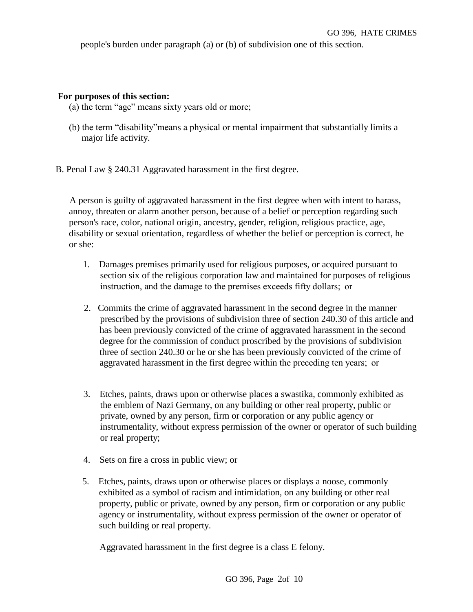people's burden under paragraph (a) or (b) of subdivision one of this section.

#### **For purposes of this section:**

- (a) the term "age" means sixty years old or more;
- (b) the term "disability"means a physical or mental impairment that substantially limits a major life activity.
- B. Penal Law § 240.31 Aggravated harassment in the first degree.

 A person is guilty of aggravated harassment in the first degree when with intent to harass, annoy, threaten or alarm another person, because of a belief or perception regarding such person's race, color, national origin, ancestry, gender, religion, religious practice, age, disability or sexual orientation, regardless of whether the belief or perception is correct, he or she:

- 1. Damages premises primarily used for religious purposes, or acquired pursuant to section six of the religious corporation law and maintained for purposes of religious instruction, and the damage to the premises exceeds fifty dollars;  or
- 2. Commits the crime of aggravated harassment in the second degree in the manner prescribed by the provisions of subdivision three of section 240.30 of this article and has been previously convicted of the crime of aggravated harassment in the second degree for the commission of conduct proscribed by the provisions of subdivision three of section 240.30 or he or she has been previously convicted of the crime of aggravated harassment in the first degree within the preceding ten years;  or
- 3. Etches, paints, draws upon or otherwise places a swastika, commonly exhibited as the emblem of Nazi Germany, on any building or other real property, public or private, owned by any person, firm or corporation or any public agency or instrumentality, without express permission of the owner or operator of such building or real property;
- 4. Sets on fire a cross in public view; or
- 5. Etches, paints, draws upon or otherwise places or displays a noose, commonly exhibited as a symbol of racism and intimidation, on any building or other real property, public or private, owned by any person, firm or corporation or any public agency or instrumentality, without express permission of the owner or operator of such building or real property.

Aggravated harassment in the first degree is a class E felony.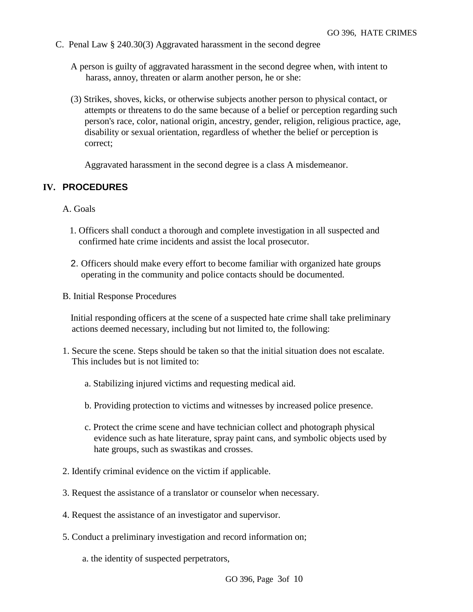C. Penal Law § 240.30(3) Aggravated harassment in the second degree

A person is guilty of aggravated harassment in the second degree when, with intent to harass, annoy, threaten or alarm another person, he or she:

(3) Strikes, shoves, kicks, or otherwise subjects another person to physical contact, or attempts or threatens to do the same because of a belief or perception regarding such person's race, color, national origin, ancestry, gender, religion, religious practice, age, disability or sexual orientation, regardless of whether the belief or perception is correct;

Aggravated harassment in the second degree is a class A misdemeanor.

## **IV. PROCEDURES**

A. Goals

- 1. Officers shall conduct a thorough and complete investigation in all suspected and confirmed hate crime incidents and assist the local prosecutor.
- 2. Officers should make every effort to become familiar with organized hate groups operating in the community and police contacts should be documented.
- B. Initial Response Procedures

Initial responding officers at the scene of a suspected hate crime shall take preliminary actions deemed necessary, including but not limited to, the following:

- 1. Secure the scene. Steps should be taken so that the initial situation does not escalate. This includes but is not limited to:
	- a. Stabilizing injured victims and requesting medical aid.
	- b. Providing protection to victims and witnesses by increased police presence.
	- c. Protect the crime scene and have technician collect and photograph physical evidence such as hate literature, spray paint cans, and symbolic objects used by hate groups, such as swastikas and crosses.
- 2. Identify criminal evidence on the victim if applicable.
- 3. Request the assistance of a translator or counselor when necessary.
- 4. Request the assistance of an investigator and supervisor.
- 5. Conduct a preliminary investigation and record information on;
	- a. the identity of suspected perpetrators,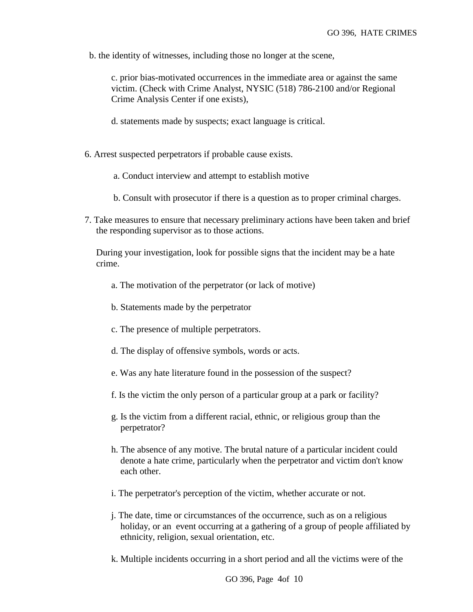b. the identity of witnesses, including those no longer at the scene,

 c. prior bias-motivated occurrences in the immediate area or against the same victim. (Check with Crime Analyst, NYSIC (518) 786-2100 and/or Regional Crime Analysis Center if one exists),

- d. statements made by suspects; exact language is critical.
- 6. Arrest suspected perpetrators if probable cause exists.
	- a. Conduct interview and attempt to establish motive
	- b. Consult with prosecutor if there is a question as to proper criminal charges.
- 7. Take measures to ensure that necessary preliminary actions have been taken and brief the responding supervisor as to those actions.

 During your investigation, look for possible signs that the incident may be a hate crime.

- a. The motivation of the perpetrator (or lack of motive)
- b. Statements made by the perpetrator
- c. The presence of multiple perpetrators.
- d. The display of offensive symbols, words or acts.
- e. Was any hate literature found in the possession of the suspect?
- f. Is the victim the only person of a particular group at a park or facility?
- g. Is the victim from a different racial, ethnic, or religious group than the perpetrator?
- h. The absence of any motive. The brutal nature of a particular incident could denote a hate crime, particularly when the perpetrator and victim don't know each other.
- i. The perpetrator's perception of the victim, whether accurate or not.
- j. The date, time or circumstances of the occurrence, such as on a religious holiday, or an event occurring at a gathering of a group of people affiliated by ethnicity, religion, sexual orientation, etc.
- k. Multiple incidents occurring in a short period and all the victims were of the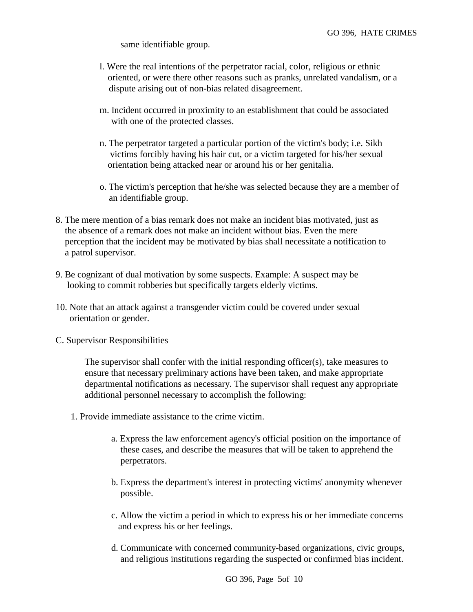same identifiable group.

- l. Were the real intentions of the perpetrator racial, color, religious or ethnic oriented, or were there other reasons such as pranks, unrelated vandalism, or a dispute arising out of non-bias related disagreement.
- m. Incident occurred in proximity to an establishment that could be associated with one of the protected classes.
- n. The perpetrator targeted a particular portion of the victim's body; i.e. Sikh victims forcibly having his hair cut, or a victim targeted for his/her sexual orientation being attacked near or around his or her genitalia.
- o. The victim's perception that he/she was selected because they are a member of an identifiable group.
- 8. The mere mention of a bias remark does not make an incident bias motivated, just as the absence of a remark does not make an incident without bias. Even the mere perception that the incident may be motivated by bias shall necessitate a notification to a patrol supervisor.
- 9. Be cognizant of dual motivation by some suspects. Example: A suspect may be looking to commit robberies but specifically targets elderly victims.
- 10. Note that an attack against a transgender victim could be covered under sexual orientation or gender.
- C. Supervisor Responsibilities

The supervisor shall confer with the initial responding officer(s), take measures to ensure that necessary preliminary actions have been taken, and make appropriate departmental notifications as necessary. The supervisor shall request any appropriate additional personnel necessary to accomplish the following:

- 1. Provide immediate assistance to the crime victim.
	- a. Express the law enforcement agency's official position on the importance of these cases, and describe the measures that will be taken to apprehend the perpetrators.
	- b. Express the department's interest in protecting victims' anonymity whenever possible.
	- c. Allow the victim a period in which to express his or her immediate concerns and express his or her feelings.
	- d. Communicate with concerned community-based organizations, civic groups, and religious institutions regarding the suspected or confirmed bias incident.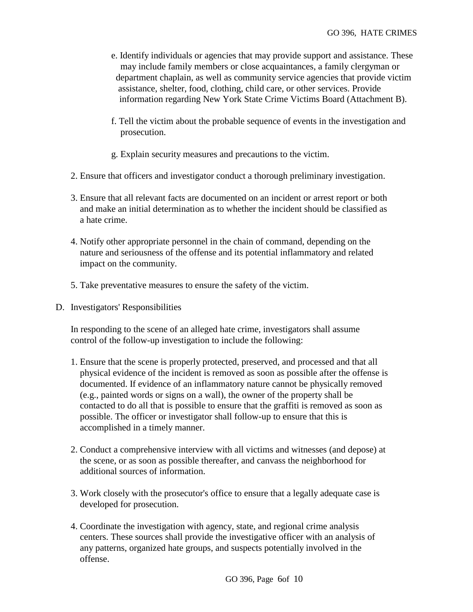- e. Identify individuals or agencies that may provide support and assistance. These may include family members or close acquaintances, a family clergyman or department chaplain, as well as community service agencies that provide victim assistance, shelter, food, clothing, child care, or other services. Provide information regarding New York State Crime Victims Board (Attachment B).
- f. Tell the victim about the probable sequence of events in the investigation and prosecution.
- g. Explain security measures and precautions to the victim.
- 2. Ensure that officers and investigator conduct a thorough preliminary investigation.
- 3. Ensure that all relevant facts are documented on an incident or arrest report or both and make an initial determination as to whether the incident should be classified as a hate crime.
- 4. Notify other appropriate personnel in the chain of command, depending on the nature and seriousness of the offense and its potential inflammatory and related impact on the community.
- 5. Take preventative measures to ensure the safety of the victim.
- D. Investigators' Responsibilities

In responding to the scene of an alleged hate crime, investigators shall assume control of the follow-up investigation to include the following:

- 1. Ensure that the scene is properly protected, preserved, and processed and that all physical evidence of the incident is removed as soon as possible after the offense is documented. If evidence of an inflammatory nature cannot be physically removed (e.g., painted words or signs on a wall), the owner of the property shall be contacted to do all that is possible to ensure that the graffiti is removed as soon as possible. The officer or investigator shall follow-up to ensure that this is accomplished in a timely manner.
- 2. Conduct a comprehensive interview with all victims and witnesses (and depose) at the scene, or as soon as possible thereafter, and canvass the neighborhood for additional sources of information.
- 3. Work closely with the prosecutor's office to ensure that a legally adequate case is developed for prosecution.
- 4. Coordinate the investigation with agency, state, and regional crime analysis centers. These sources shall provide the investigative officer with an analysis of any patterns, organized hate groups, and suspects potentially involved in the offense.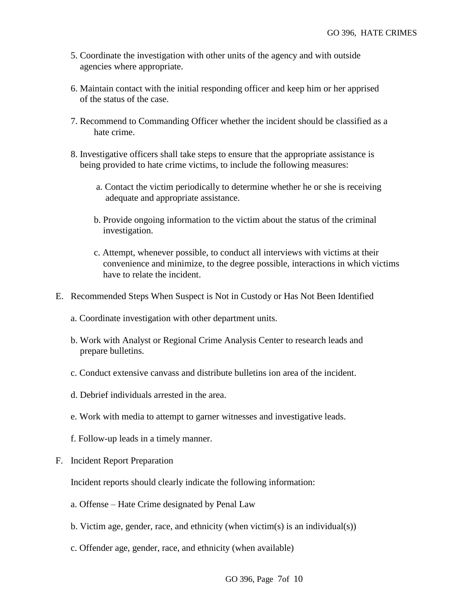- 5. Coordinate the investigation with other units of the agency and with outside agencies where appropriate.
- 6. Maintain contact with the initial responding officer and keep him or her apprised of the status of the case.
- 7. Recommend to Commanding Officer whether the incident should be classified as a hate crime.
- 8. Investigative officers shall take steps to ensure that the appropriate assistance is being provided to hate crime victims, to include the following measures:
	- a. Contact the victim periodically to determine whether he or she is receiving adequate and appropriate assistance.
	- b. Provide ongoing information to the victim about the status of the criminal investigation.
	- c. Attempt, whenever possible, to conduct all interviews with victims at their convenience and minimize, to the degree possible, interactions in which victims have to relate the incident.
- E. Recommended Steps When Suspect is Not in Custody or Has Not Been Identified
	- a. Coordinate investigation with other department units.
	- b. Work with Analyst or Regional Crime Analysis Center to research leads and prepare bulletins.
	- c. Conduct extensive canvass and distribute bulletins ion area of the incident.
	- d. Debrief individuals arrested in the area.
	- e. Work with media to attempt to garner witnesses and investigative leads.
	- f. Follow-up leads in a timely manner.
- F. Incident Report Preparation

Incident reports should clearly indicate the following information:

- a. Offense Hate Crime designated by Penal Law
- b. Victim age, gender, race, and ethnicity (when victim(s) is an individual(s))
- c. Offender age, gender, race, and ethnicity (when available)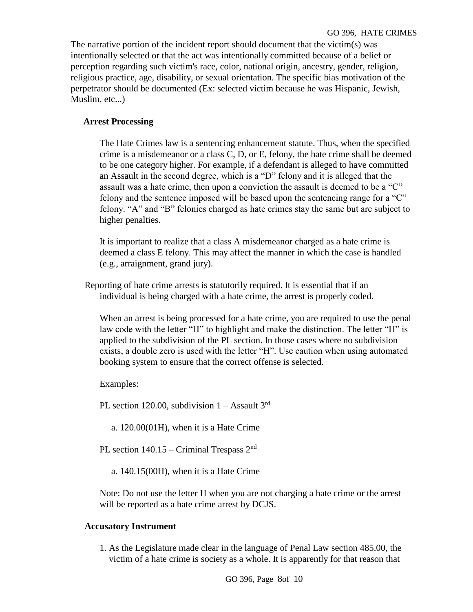The narrative portion of the incident report should document that the victim(s) was intentionally selected or that the act was intentionally committed because of a belief or perception regarding such victim's race, color, national origin, ancestry, gender, religion, religious practice, age, disability, or sexual orientation. The specific bias motivation of the perpetrator should be documented (Ex: selected victim because he was Hispanic, Jewish, Muslim, etc...)

## **Arrest Processing**

The Hate Crimes law is a sentencing enhancement statute. Thus, when the specified crime is a misdemeanor or a class C, D, or E, felony, the hate crime shall be deemed to be one category higher. For example, if a defendant is alleged to have committed an Assault in the second degree, which is a "D" felony and it is alleged that the assault was a hate crime, then upon a conviction the assault is deemed to be a "C" felony and the sentence imposed will be based upon the sentencing range for a "C" felony. "A" and "B" felonies charged as hate crimes stay the same but are subject to higher penalties.

It is important to realize that a class A misdemeanor charged as a hate crime is deemed a class E felony. This may affect the manner in which the case is handled (e.g., arraignment, grand jury).

Reporting of hate crime arrests is statutorily required. It is essential that if an individual is being charged with a hate crime, the arrest is properly coded.

When an arrest is being processed for a hate crime, you are required to use the penal law code with the letter "H" to highlight and make the distinction. The letter "H" is applied to the subdivision of the PL section. In those cases where no subdivision exists, a double zero is used with the letter "H". Use caution when using automated booking system to ensure that the correct offense is selected.

Examples:

PL section 120.00, subdivision  $1 -$  Assault 3<sup>rd</sup>

a. 120.00(01H), when it is a Hate Crime

PL section  $140.15$  – Criminal Trespass  $2<sup>nd</sup>$ 

a. 140.15(00H), when it is a Hate Crime

Note: Do not use the letter H when you are not charging a hate crime or the arrest will be reported as a hate crime arrest by DCJS.

## **Accusatory Instrument**

1. As the Legislature made clear in the language of Penal Law section 485.00, the victim of a hate crime is society as a whole. It is apparently for that reason that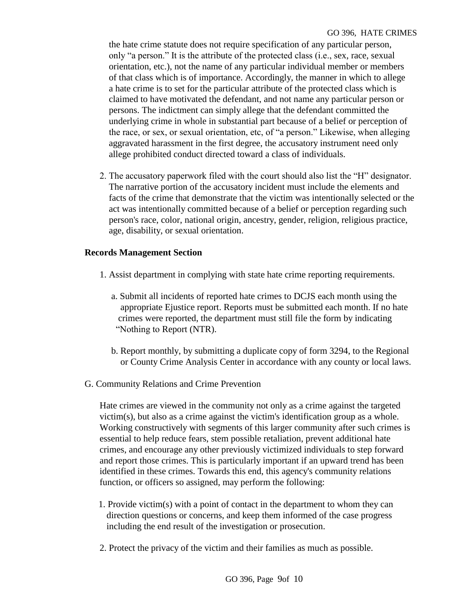the hate crime statute does not require specification of any particular person, only "a person." It is the attribute of the protected class (i.e., sex, race, sexual orientation, etc.), not the name of any particular individual member or members of that class which is of importance. Accordingly, the manner in which to allege a hate crime is to set for the particular attribute of the protected class which is claimed to have motivated the defendant, and not name any particular person or persons. The indictment can simply allege that the defendant committed the underlying crime in whole in substantial part because of a belief or perception of the race, or sex, or sexual orientation, etc, of "a person." Likewise, when alleging aggravated harassment in the first degree, the accusatory instrument need only allege prohibited conduct directed toward a class of individuals.

2. The accusatory paperwork filed with the court should also list the "H" designator. The narrative portion of the accusatory incident must include the elements and facts of the crime that demonstrate that the victim was intentionally selected or the act was intentionally committed because of a belief or perception regarding such person's race, color, national origin, ancestry, gender, religion, religious practice, age, disability, or sexual orientation.

## **Records Management Section**

- 1. Assist department in complying with state hate crime reporting requirements.
	- a. Submit all incidents of reported hate crimes to DCJS each month using the appropriate Ejustice report. Reports must be submitted each month. If no hate crimes were reported, the department must still file the form by indicating "Nothing to Report (NTR).
	- b. Report monthly, by submitting a duplicate copy of form 3294, to the Regional or County Crime Analysis Center in accordance with any county or local laws.
- G. Community Relations and Crime Prevention

Hate crimes are viewed in the community not only as a crime against the targeted victim(s), but also as a crime against the victim's identification group as a whole. Working constructively with segments of this larger community after such crimes is essential to help reduce fears, stem possible retaliation, prevent additional hate crimes, and encourage any other previously victimized individuals to step forward and report those crimes. This is particularly important if an upward trend has been identified in these crimes. Towards this end, this agency's community relations function, or officers so assigned, may perform the following:

- 1. Provide victim(s) with a point of contact in the department to whom they can direction questions or concerns, and keep them informed of the case progress including the end result of the investigation or prosecution.
- 2. Protect the privacy of the victim and their families as much as possible.